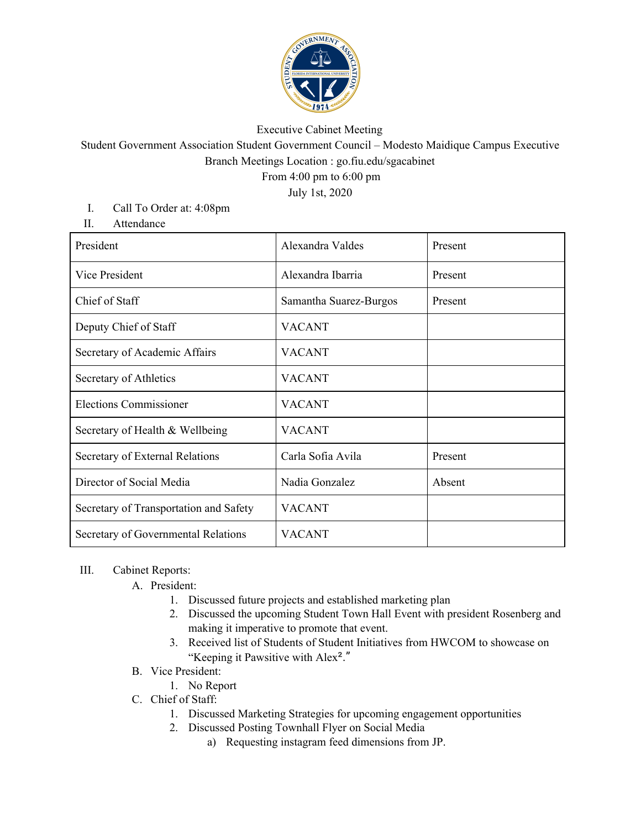

## Executive Cabinet Meeting

Student Government Association Student Government Council – Modesto Maidique Campus Executive Branch Meetings Location : go.fiu.edu/sgacabinet

From 4:00 pm to 6:00 pm

July 1st, 2020

- I. Call To Order at: 4:08pm
- II. Attendance

| President                              | Alexandra Valdes       | Present |
|----------------------------------------|------------------------|---------|
| Vice President                         | Alexandra Ibarria      | Present |
| Chief of Staff                         | Samantha Suarez-Burgos | Present |
| Deputy Chief of Staff                  | <b>VACANT</b>          |         |
| Secretary of Academic Affairs          | <b>VACANT</b>          |         |
| Secretary of Athletics                 | <b>VACANT</b>          |         |
| <b>Elections Commissioner</b>          | <b>VACANT</b>          |         |
| Secretary of Health & Wellbeing        | <b>VACANT</b>          |         |
| Secretary of External Relations        | Carla Sofia Avila      | Present |
| Director of Social Media               | Nadia Gonzalez         | Absent  |
| Secretary of Transportation and Safety | <b>VACANT</b>          |         |
| Secretary of Governmental Relations    | <b>VACANT</b>          |         |

## III. Cabinet Reports:

- A. President:
	- 1. Discussed future projects and established marketing plan
	- 2. Discussed the upcoming Student Town Hall Event with president Rosenberg and making it imperative to promote that event.
	- 3. Received list of Students of Student Initiatives from HWCOM to showcase on "Keeping it Pawsitive with Alex²."
- B. Vice President:
	- 1. No Report
- C. Chief of Staff:
	- 1. Discussed Marketing Strategies for upcoming engagement opportunities
	- 2. Discussed Posting Townhall Flyer on Social Media
		- a) Requesting instagram feed dimensions from JP.